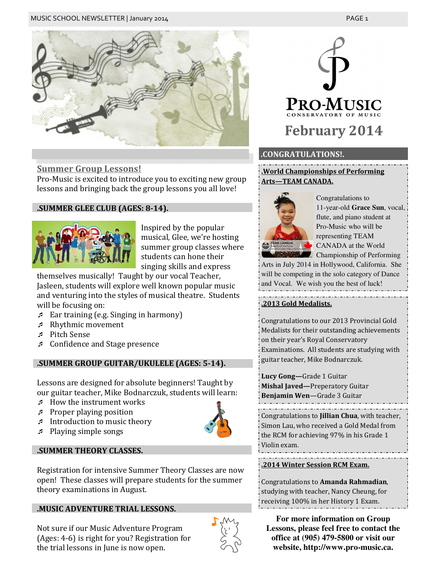

# Summer Group Lessons!

Pro-Music is excited to introduce you to exciting new group lessons and bringing back the group lessons you all love!

# .SUMMER GLEE CLUB (AGES: 8-14).



Inspired by the popular musical, Glee, we're hosting summer group classes where students can hone their singing skills and express

themselves musically! Taught by our vocal Teacher, Jasleen, students will explore well known popular music and venturing into the styles of musical theatre. Students will be focusing on:

- Ear training (e.g. Singing in harmony)
- Rhythmic movement
- Pitch Sense
- Confidence and Stage presence

# .SUMMER GROUP GUITAR/UKULELE (AGES: 5-14).

Lessons are designed for absolute beginners! Taught by our guitar teacher, Mike Bodnarczuk, students will learn:

- $\sim$  How the instrument works
- Proper playing position
- Introduction to music theory
- Playing simple songs

# .SUMMER THEORY CLASSES.

Registration for intensive Summer Theory Classes are now open! These classes will prepare students for the summer theory examinations in August.

# .MUSIC ADVENTURE TRIAL LESSONS.





# PRO-MUSIC February 2014

# .CONGRATULATIONS!.

.World Championships of Performing Arts—TEAM CANADA.



Congratulations to 11-year-old **Grace Sun**, vocal, flute, and piano student at Pro-Music who will be representing TEAM CANADA at the World **Championship of Performing** 

Arts in July 2014 in Hollywood, California. She will be competing in the solo category of Dance and Vocal. We wish you the best of luck!

# .2013 Gold Medalists.

Congratulations to our 2013 Provincial Gold Medalists for their outstanding achievements on their year's Royal Conservatory Examinations. All students are studying with guitar teacher, Mike Bodnarczuk.

Lucy Gong—Grade 1 Guitar Mishal Javed—Preperatory Guitar Benjamin Wen—Grade 3 Guitar

Congratulations to Jillian Chua, with teacher, Simon Lau, who received a Gold Medal from the RCM for achieving 97% in his Grade 1 Violin exam.

### .2014 Winter Session RCM Exam.

Congratulations to Amanda Rahmadian, studying with teacher, Nancy Cheung, for receiving 100% in her History 1 Exam.

**For more information on Group Lessons, please feel free to contact the office at (905) 479-5800 or visit our website, http://www.pro-music.ca.**